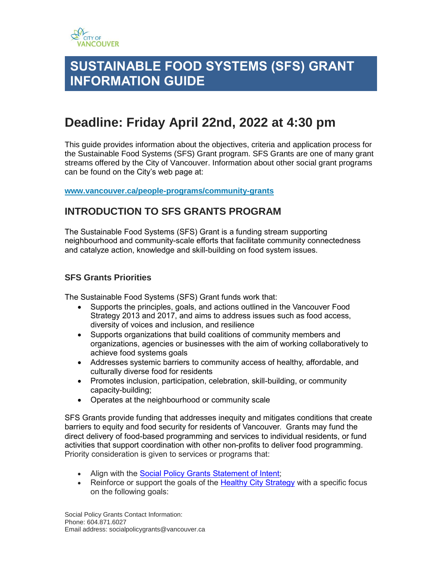

# **SUSTAINABLE FOOD SYSTEMS (SFS) GRANT INFORMATION GUIDE**

# **Deadline: Friday April 22nd, 2022 at 4:30 pm**

This guide provides information about the objectives, criteria and application process for the Sustainable Food Systems (SFS) Grant program. SFS Grants are one of many grant streams offered by the City of Vancouver. Information about other social grant programs can be found on the City's web page at:

**[www.vancouver.ca/people-programs/community-grants](https://www.vancouver.ca/people-programs/community-grants)**

# **INTRODUCTION TO SFS GRANTS PROGRAM**

The Sustainable Food Systems (SFS) Grant is a funding stream supporting neighbourhood and community-scale efforts that facilitate community connectedness and catalyze action, knowledge and skill-building on food system issues.

# **SFS Grants Priorities**

The Sustainable Food Systems (SFS) Grant funds work that:

- Supports the principles, goals, and actions outlined in the Vancouver Food Strategy 2013 and 2017, and aims to address issues such as food access, diversity of voices and inclusion, and resilience
- Supports organizations that build coalitions of community members and organizations, agencies or businesses with the aim of working collaboratively to achieve food systems goals
- Addresses systemic barriers to community access of healthy, affordable, and culturally diverse food for residents
- Promotes inclusion, participation, celebration, skill-building, or community capacity-building;
- Operates at the neighbourhood or community scale

SFS Grants provide funding that addresses inequity and mitigates conditions that create barriers to equity and food security for residents of Vancouver. Grants may fund the direct delivery of food-based programming and services to individual residents, or fund activities that support coordination with other non-profits to deliver food programming. Priority consideration is given to services or programs that:

- Align with the [Social Policy Grants](https://vancouver.ca/people-programs/community-grants.aspx) Statement of Intent;
- Reinforce or support the goals of the [Healthy City Strategy](https://vancouver.ca/people-programs/healthy-city-strategy.aspx) with a specific focus on the following goals:

Social Policy Grants Contact Information: Phone: 604.871.6027 Email address: socialpolicygrants@vancouver.ca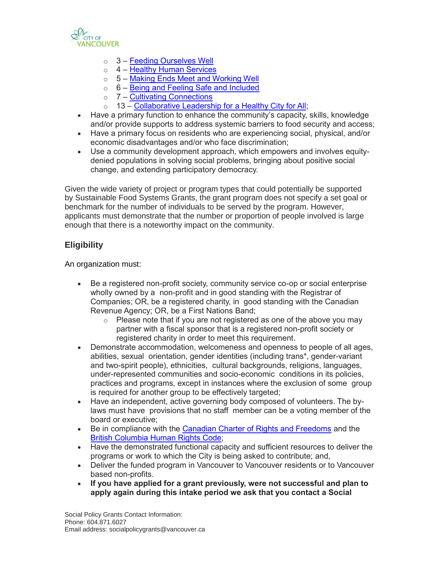

- $\circ$  3 [Feeding Ourselves Well](https://vancouver.ca/people-programs/feeding-ourselves-well.aspx)
- o 4 Healthy Human Services
- o 5 [Making Ends Meet and Working Well](https://vancouver.ca/people-programs/making-ends-meet-and-working-well.aspx)
- o 6 [Being and Feeling Safe and Included](https://vancouver.ca/people-programs/being-and-feeling-safe-and-included.aspx)
- o 7 [Cultivating Connections](https://vancouver.ca/people-programs/cultivating-connections.aspx)
- o 13 [Collaborative Leadership for a Healthy City for All;](https://vancouver.ca/people-programs/collaborative-leadership.aspx)
- Have a primary function to enhance the community's capacity, skills, knowledge and/or provide supports to address systemic barriers to food security and access;
- Have a primary focus on residents who are experiencing social, physical, and/or economic disadvantages and/or who face discrimination;
- Use a community development approach, which empowers and involves equitydenied populations in solving social problems, bringing about positive social change, and extending participatory democracy.

Given the wide variety of project or program types that could potentially be supported by Sustainable Food Systems Grants, the grant program does not specify a set goal or benchmark for the number of individuals to be served by the program. However, applicants must demonstrate that the number or proportion of people involved is large enough that there is a noteworthy impact on the community.

# **Eligibility**

An organization must:

- Be a registered non-profit society, community service co-op or social enterprise wholly owned by a non-profit and in good standing with the Registrar of Companies; OR, be a registered charity, in good standing with the Canadian Revenue Agency; OR, be a First Nations Band;
	- $\circ$  Please note that if you are not registered as one of the above you may partner with a fiscal sponsor that is a registered non-profit society or registered charity in order to meet this requirement.
- Demonstrate accommodation, welcomeness and openness to people of all ages, abilities, sexual orientation, gender identities (including trans\*, gender-variant and two-spirit people), ethnicities, cultural backgrounds, religions, languages, under-represented communities and socio-economic conditions in its policies, practices and programs, except in instances where the exclusion of some group is required for another group to be effectively targeted;
- Have an independent, active governing body composed of volunteers. The bylaws must have provisions that no staff member can be a voting member of the board or executive;
- Be in compliance with the [Canadian Charter of Rights and Freedoms](https://www.canada.ca/en/canadian-heritage/services/how-rights-protected/guide-canadian-charter-rights-freedoms.html) and the [British Columbia Human Rights Code;](https://www.bclaws.gov.bc.ca/civix/document/id/complete/statreg/00_96210_01)
- Have the demonstrated functional capacity and sufficient resources to deliver the programs or work to which the City is being asked to contribute; and,
- Deliver the funded program in Vancouver to Vancouver residents or to Vancouver based non-profits.
- **If you have applied for a grant previously, were not successful and plan to apply again during this intake period we ask that you contact a Social**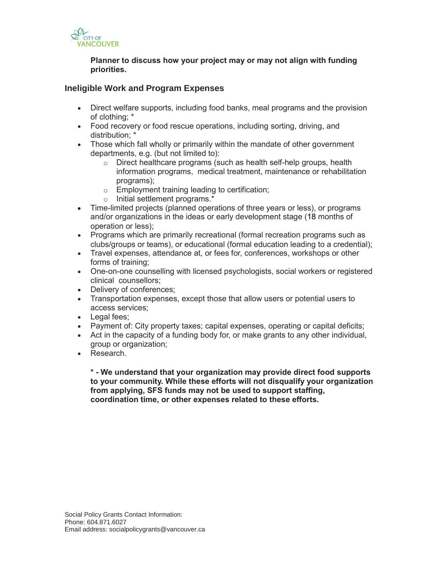

**Planner to discuss how your project may or may not align with funding priorities.** 

### **Ineligible Work and Program Expenses**

- Direct welfare supports, including food banks, meal programs and the provision of clothing; \*
- Food recovery or food rescue operations, including sorting, driving, and distribution; \*
- Those which fall wholly or primarily within the mandate of other government departments, e.g. (but not limited to):
	- o Direct healthcare programs (such as health self-help groups, health information programs, medical treatment, maintenance or rehabilitation programs);
	- o Employment training leading to certification;
	- o Initial settlement programs.\*
- Time-limited projects (planned operations of three years or less), or programs and/or organizations in the ideas or early development stage (18 months of operation or less);
- Programs which are primarily recreational (formal recreation programs such as clubs/groups or teams), or educational (formal education leading to a credential);
- Travel expenses, attendance at, or fees for, conferences, workshops or other forms of training;
- One-on-one counselling with licensed psychologists, social workers or registered clinical counsellors;
- Delivery of conferences;
- Transportation expenses, except those that allow users or potential users to access services;
- Legal fees:
- Payment of: City property taxes; capital expenses, operating or capital deficits;
- Act in the capacity of a funding body for, or make grants to any other individual, group or organization;
- Research.

**\* - We understand that your organization may provide direct food supports to your community. While these efforts will not disqualify your organization from applying, SFS funds may not be used to support staffing, coordination time, or other expenses related to these efforts.**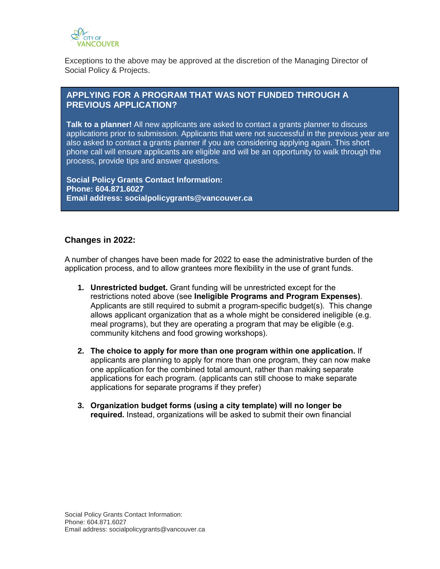

Exceptions to the above may be approved at the discretion of the Managing Director of Social Policy & Projects.

# **APPLYING FOR A PROGRAM THAT WAS NOT FUNDED THROUGH A PREVIOUS APPLICATION?**

**Talk to a planner!** All new applicants are asked to contact a grants planner to discuss applications prior to submission. Applicants that were not successful in the previous year are also asked to contact a grants planner if you are considering applying again. This short phone call will ensure applicants are eligible and will be an opportunity to walk through the process, provide tips and answer questions.

**Social Policy Grants Contact Information: Phone: 604.871.6027 Email address: socialpolicygrants@vancouver.ca**

#### **Changes in 2022:**

A number of changes have been made for 2022 to ease the administrative burden of the application process, and to allow grantees more flexibility in the use of grant funds.

- **1. Unrestricted budget.** Grant funding will be unrestricted except for the restrictions noted above (see **Ineligible Programs and Program Expenses)**. Applicants are still required to submit a program-specific budget(s). This change allows applicant organization that as a whole might be considered ineligible (e.g. meal programs), but they are operating a program that may be eligible (e.g. community kitchens and food growing workshops).
- **2. The choice to apply for more than one program within one application.** If applicants are planning to apply for more than one program, they can now make one application for the combined total amount, rather than making separate applications for each program. (applicants can still choose to make separate applications for separate programs if they prefer)
- **3. Organization budget forms (using a city template) will no longer be required.** Instead, organizations will be asked to submit their own financial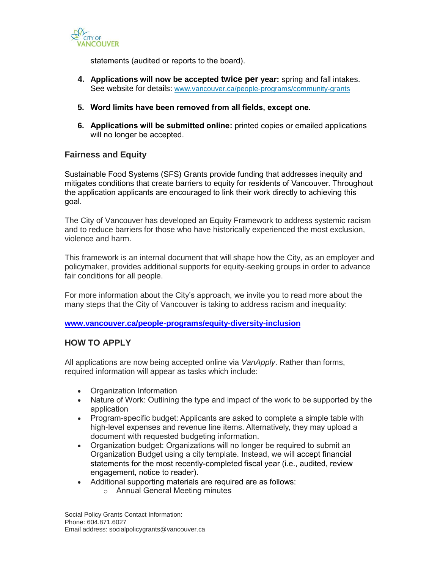

statements (audited or reports to the board).

- **4. Applications will now be accepted twice per year:** spring and fall intakes. See website for details: [www.vancouver.ca/people-programs/community-grants](https://www.vancouver.ca/people-programs/community-grants)
- **5. Word limits have been removed from all fields, except one.**
- **6. Applications will be submitted online:** printed copies or emailed applications will no longer be accepted.

#### **Fairness and Equity**

Sustainable Food Systems (SFS) Grants provide funding that addresses inequity and mitigates conditions that create barriers to equity for residents of Vancouver. Throughout the application applicants are encouraged to link their work directly to achieving this goal.

The City of Vancouver has developed an Equity Framework to address systemic racism and to reduce barriers for those who have historically experienced the most exclusion, violence and harm.

This framework is an internal document that will shape how the City, as an employer and policymaker, provides additional supports for equity-seeking groups in order to advance fair conditions for all people.

For more information about the City's approach, we invite you to read more about the many steps that the City of Vancouver is taking to address racism and inequality:

#### **[www.vancouver.ca/people-programs/equity-diversity-inclusion](http://www.vancouver.ca/people-programs/equity-diversity-inclusion)**

#### **HOW TO APPLY**

All applications are now being accepted online via *VanApply*. Rather than forms, required information will appear as tasks which include:

- Organization Information
- Nature of Work: Outlining the type and impact of the work to be supported by the application
- Program-specific budget: Applicants are asked to complete a simple table with high-level expenses and revenue line items. Alternatively, they may upload a document with requested budgeting information.
- Organization budget: Organizations will no longer be required to submit an Organization Budget using a city template. Instead, we will accept financial statements for the most recently-completed fiscal year (i.e., audited, review engagement, notice to reader).
- Additional supporting materials are required are as follows:
	- o Annual General Meeting minutes